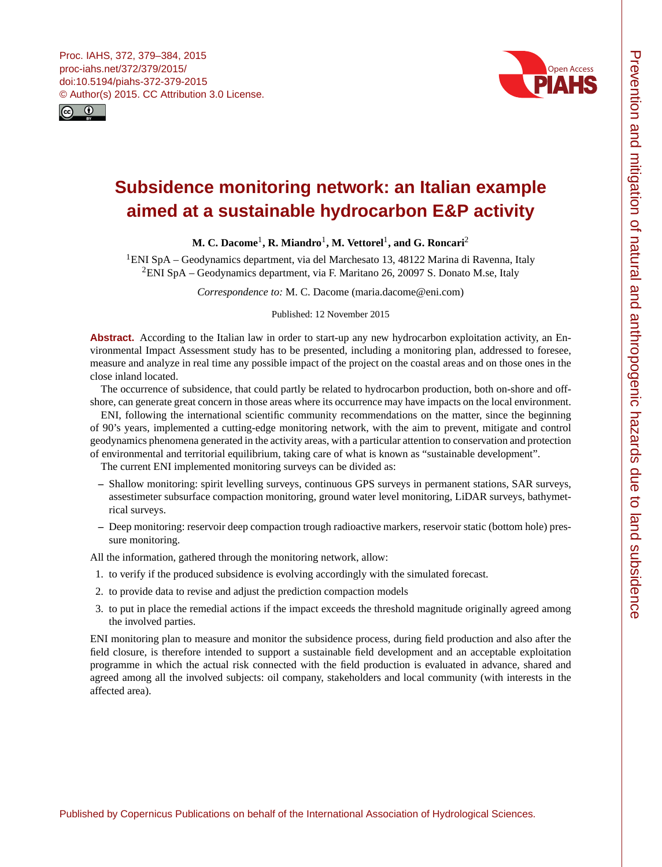<span id="page-0-1"></span>



# **Subsidence monitoring network: an Italian example aimed at a sustainable hydrocarbon E&P activity**

# **M. C. Dacome**[1](#page-0-0) **, R. Miandro**[1](#page-0-0) **, M. Vettorel**[1](#page-0-0) **, and G. Roncari**[2](#page-0-0)

<sup>1</sup>ENI SpA – Geodynamics department, via del Marchesato 13, 48122 Marina di Ravenna, Italy <sup>2</sup>ENI SpA – Geodynamics department, via F. Maritano 26, 20097 S. Donato M.se, Italy

*Correspondence to:* M. C. Dacome (maria.dacome@eni.com)

Published: 12 November 2015

**Abstract.** According to the Italian law in order to start-up any new hydrocarbon exploitation activity, an Environmental Impact Assessment study has to be presented, including a monitoring plan, addressed to foresee, measure and analyze in real time any possible impact of the project on the coastal areas and on those ones in the close inland located.

The occurrence of subsidence, that could partly be related to hydrocarbon production, both on-shore and offshore, can generate great concern in those areas where its occurrence may have impacts on the local environment.

ENI, following the international scientific community recommendations on the matter, since the beginning of 90's years, implemented a cutting-edge monitoring network, with the aim to prevent, mitigate and control geodynamics phenomena generated in the activity areas, with a particular attention to conservation and protection of environmental and territorial equilibrium, taking care of what is known as "sustainable development".

The current ENI implemented monitoring surveys can be divided as:

- **–** Shallow monitoring: spirit levelling surveys, continuous GPS surveys in permanent stations, SAR surveys, assestimeter subsurface compaction monitoring, ground water level monitoring, LiDAR surveys, bathymetrical surveys.
- **–** Deep monitoring: reservoir deep compaction trough radioactive markers, reservoir static (bottom hole) pressure monitoring.

All the information, gathered through the monitoring network, allow:

- 1. to verify if the produced subsidence is evolving accordingly with the simulated forecast.
- 2. to provide data to revise and adjust the prediction compaction models
- 3. to put in place the remedial actions if the impact exceeds the threshold magnitude originally agreed among the involved parties.

<span id="page-0-0"></span>ENI monitoring plan to measure and monitor the subsidence process, during field production and also after the field closure, is therefore intended to support a sustainable field development and an acceptable exploitation programme in which the actual risk connected with the field production is evaluated in advance, shared and agreed among all the involved subjects: oil company, stakeholders and local community (with interests in the affected area).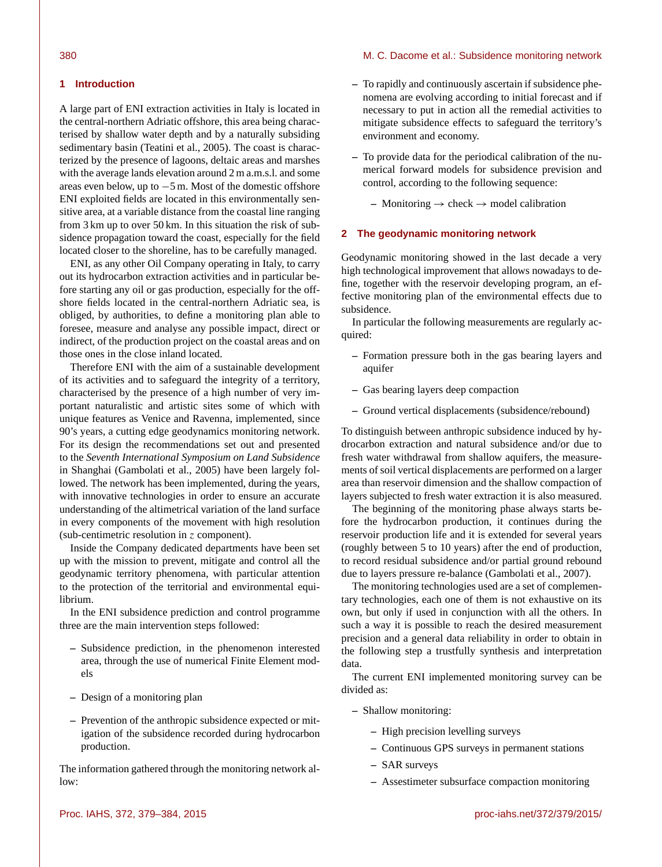#### 380 M. C. Dacome et al.: Subsidence monitoring network

#### **1 Introduction**

A large part of ENI extraction activities in Italy is located in the central-northern Adriatic offshore, this area being characterised by shallow water depth and by a naturally subsiding sedimentary basin (Teatini et al., 2005). The coast is characterized by the presence of lagoons, deltaic areas and marshes with the average lands elevation around 2 m a.m.s.l. and some areas even below, up to −5 m. Most of the domestic offshore ENI exploited fields are located in this environmentally sensitive area, at a variable distance from the coastal line ranging from 3 km up to over 50 km. In this situation the risk of subsidence propagation toward the coast, especially for the field located closer to the shoreline, has to be carefully managed.

ENI, as any other Oil Company operating in Italy, to carry out its hydrocarbon extraction activities and in particular before starting any oil or gas production, especially for the offshore fields located in the central-northern Adriatic sea, is obliged, by authorities, to define a monitoring plan able to foresee, measure and analyse any possible impact, direct or indirect, of the production project on the coastal areas and on those ones in the close inland located.

Therefore ENI with the aim of a sustainable development of its activities and to safeguard the integrity of a territory, characterised by the presence of a high number of very important naturalistic and artistic sites some of which with unique features as Venice and Ravenna, implemented, since 90's years, a cutting edge geodynamics monitoring network. For its design the recommendations set out and presented to the *Seventh International Symposium on Land Subsidence* in Shanghai (Gambolati et al., 2005) have been largely followed. The network has been implemented, during the years, with innovative technologies in order to ensure an accurate understanding of the altimetrical variation of the land surface in every components of the movement with high resolution (sub-centimetric resolution in z component).

Inside the Company dedicated departments have been set up with the mission to prevent, mitigate and control all the geodynamic territory phenomena, with particular attention to the protection of the territorial and environmental equilibrium.

In the ENI subsidence prediction and control programme three are the main intervention steps followed:

- **–** Subsidence prediction, in the phenomenon interested area, through the use of numerical Finite Element models
- **–** Design of a monitoring plan
- **–** Prevention of the anthropic subsidence expected or mitigation of the subsidence recorded during hydrocarbon production.

The information gathered through the monitoring network allow:

- **–** To rapidly and continuously ascertain if subsidence phenomena are evolving according to initial forecast and if necessary to put in action all the remedial activities to mitigate subsidence effects to safeguard the territory's environment and economy.
- **–** To provide data for the periodical calibration of the numerical forward models for subsidence prevision and control, according to the following sequence:
	- **–** Monitoring → check → model calibration

#### **2 The geodynamic monitoring network**

Geodynamic monitoring showed in the last decade a very high technological improvement that allows nowadays to define, together with the reservoir developing program, an effective monitoring plan of the environmental effects due to subsidence.

In particular the following measurements are regularly acquired:

- **–** Formation pressure both in the gas bearing layers and aquifer
- **–** Gas bearing layers deep compaction
- **–** Ground vertical displacements (subsidence/rebound)

To distinguish between anthropic subsidence induced by hydrocarbon extraction and natural subsidence and/or due to fresh water withdrawal from shallow aquifers, the measurements of soil vertical displacements are performed on a larger area than reservoir dimension and the shallow compaction of layers subjected to fresh water extraction it is also measured.

The beginning of the monitoring phase always starts before the hydrocarbon production, it continues during the reservoir production life and it is extended for several years (roughly between 5 to 10 years) after the end of production, to record residual subsidence and/or partial ground rebound due to layers pressure re-balance (Gambolati et al., 2007).

The monitoring technologies used are a set of complementary technologies, each one of them is not exhaustive on its own, but only if used in conjunction with all the others. In such a way it is possible to reach the desired measurement precision and a general data reliability in order to obtain in the following step a trustfully synthesis and interpretation data.

The current ENI implemented monitoring survey can be divided as:

- **–** Shallow monitoring:
	- **–** High precision levelling surveys
	- **–** Continuous GPS surveys in permanent stations
	- **–** SAR surveys
	- **–** Assestimeter subsurface compaction monitoring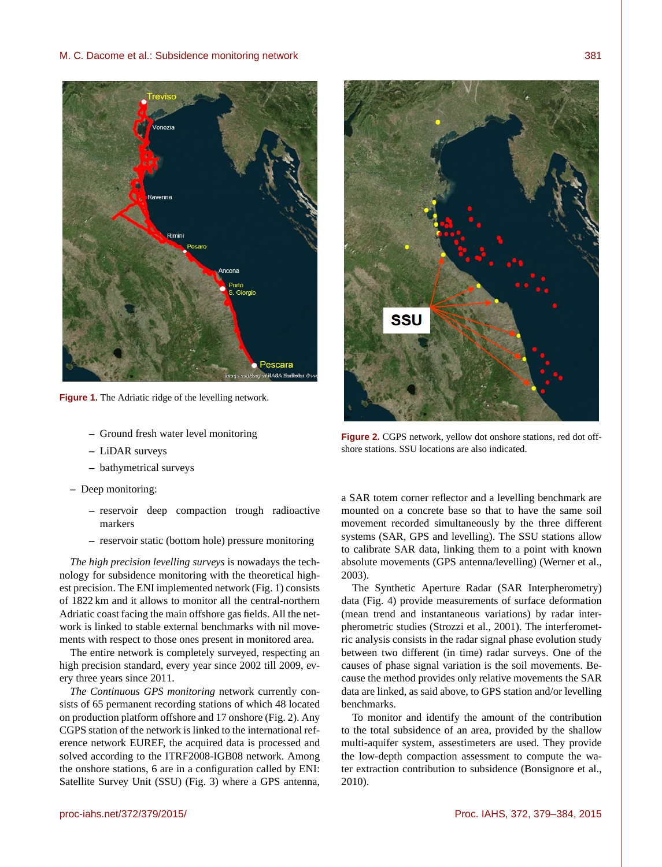

**Figure 1.** The Adriatic ridge of the levelling network.

- **–** Ground fresh water level monitoring
- **–** LiDAR surveys
- **–** bathymetrical surveys
- **–** Deep monitoring:
	- **–** reservoir deep compaction trough radioactive markers
	- **–** reservoir static (bottom hole) pressure monitoring

*The high precision levelling surveys* is nowadays the technology for subsidence monitoring with the theoretical highest precision. The ENI implemented network (Fig. 1) consists of 1822 km and it allows to monitor all the central-northern Adriatic coast facing the main offshore gas fields. All the network is linked to stable external benchmarks with nil movements with respect to those ones present in monitored area.

The entire network is completely surveyed, respecting an high precision standard, every year since 2002 till 2009, every three years since 2011.

*The Continuous GPS monitoring* network currently consists of 65 permanent recording stations of which 48 located on production platform offshore and 17 onshore (Fig. 2). Any CGPS station of the network is linked to the international reference network EUREF, the acquired data is processed and solved according to the ITRF2008-IGB08 network. Among the onshore stations, 6 are in a configuration called by ENI: Satellite Survey Unit (SSU) (Fig. 3) where a GPS antenna,



**Figure 2.** CGPS network, yellow dot onshore stations, red dot offshore stations. SSU locations are also indicated.

a SAR totem corner reflector and a levelling benchmark are mounted on a concrete base so that to have the same soil movement recorded simultaneously by the three different systems (SAR, GPS and levelling). The SSU stations allow to calibrate SAR data, linking them to a point with known absolute movements (GPS antenna/levelling) (Werner et al., 2003).

The Synthetic Aperture Radar (SAR Interpherometry) data (Fig. 4) provide measurements of surface deformation (mean trend and instantaneous variations) by radar interpherometric studies (Strozzi et al., 2001). The interferometric analysis consists in the radar signal phase evolution study between two different (in time) radar surveys. One of the causes of phase signal variation is the soil movements. Because the method provides only relative movements the SAR data are linked, as said above, to GPS station and/or levelling benchmarks.

To monitor and identify the amount of the contribution to the total subsidence of an area, provided by the shallow multi-aquifer system, assestimeters are used. They provide the low-depth compaction assessment to compute the water extraction contribution to subsidence (Bonsignore et al., 2010).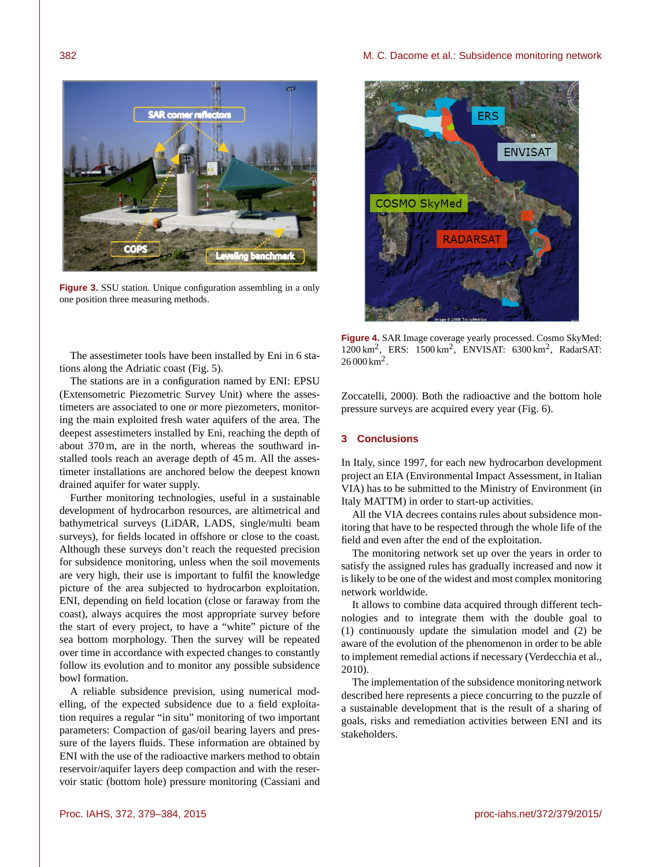

**Figure 3.** SSU station. Unique configuration assembling in a only one position three measuring methods.

The assestimeter tools have been installed by Eni in 6 stations along the Adriatic coast (Fig. 5).

The stations are in a configuration named by ENI: EPSU (Extensometric Piezometric Survey Unit) where the assestimeters are associated to one or more piezometers, monitoring the main exploited fresh water aquifers of the area. The deepest assestimeters installed by Eni, reaching the depth of about 370 m, are in the north, whereas the southward installed tools reach an average depth of 45 m. All the assestimeter installations are anchored below the deepest known drained aquifer for water supply.

Further monitoring technologies, useful in a sustainable development of hydrocarbon resources, are altimetrical and bathymetrical surveys (LiDAR, LADS, single/multi beam surveys), for fields located in offshore or close to the coast. Although these surveys don't reach the requested precision for subsidence monitoring, unless when the soil movements are very high, their use is important to fulfil the knowledge picture of the area subjected to hydrocarbon exploitation. ENI, depending on field location (close or faraway from the coast), always acquires the most appropriate survey before the start of every project, to have a "white" picture of the sea bottom morphology. Then the survey will be repeated over time in accordance with expected changes to constantly follow its evolution and to monitor any possible subsidence bowl formation.

A reliable subsidence prevision, using numerical modelling, of the expected subsidence due to a field exploitation requires a regular "in situ" monitoring of two important parameters: Compaction of gas/oil bearing layers and pressure of the layers fluids. These information are obtained by ENI with the use of the radioactive markers method to obtain reservoir/aquifer layers deep compaction and with the reservoir static (bottom hole) pressure monitoring (Cassiani and



**Figure 4.** SAR Image coverage yearly processed. Cosmo SkyMed: 1200 km<sup>2</sup> , ERS: 1500 km<sup>2</sup> , ENVISAT: 6300 km<sup>2</sup> , RadarSAT:  $26000 \,\mathrm{km}^2$ .

Zoccatelli, 2000). Both the radioactive and the bottom hole pressure surveys are acquired every year (Fig. 6).

## **3 Conclusions**

In Italy, since 1997, for each new hydrocarbon development project an EIA (Environmental Impact Assessment, in Italian VIA) has to be submitted to the Ministry of Environment (in Italy MATTM) in order to start-up activities.

All the VIA decrees contains rules about subsidence monitoring that have to be respected through the whole life of the field and even after the end of the exploitation.

The monitoring network set up over the years in order to satisfy the assigned rules has gradually increased and now it is likely to be one of the widest and most complex monitoring network worldwide.

It allows to combine data acquired through different technologies and to integrate them with the double goal to (1) continuously update the simulation model and (2) be aware of the evolution of the phenomenon in order to be able to implement remedial actions if necessary (Verdecchia et al., 2010).

The implementation of the subsidence monitoring network described here represents a piece concurring to the puzzle of a sustainable development that is the result of a sharing of goals, risks and remediation activities between ENI and its stakeholders.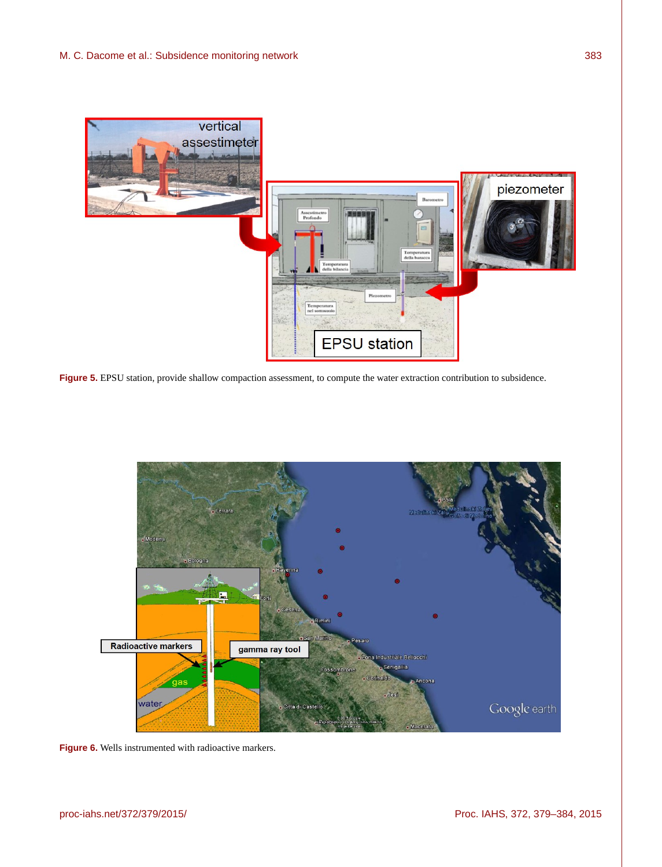

**Figure 5.** EPSU station, provide shallow compaction assessment, to compute the water extraction contribution to subsidence.



Figure 6. Wells instrumented with radioactive markers.